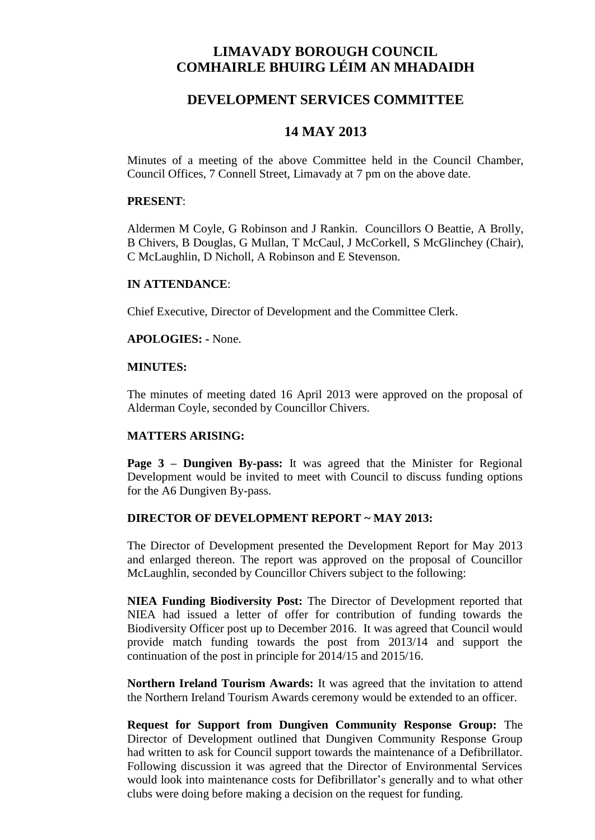# **LIMAVADY BOROUGH COUNCIL COMHAIRLE BHUIRG LÉIM AN MHADAIDH**

### **DEVELOPMENT SERVICES COMMITTEE**

## **14 MAY 2013**

Minutes of a meeting of the above Committee held in the Council Chamber, Council Offices, 7 Connell Street, Limavady at 7 pm on the above date.

#### **PRESENT**:

Aldermen M Coyle, G Robinson and J Rankin. Councillors O Beattie, A Brolly, B Chivers, B Douglas, G Mullan, T McCaul, J McCorkell, S McGlinchey (Chair), C McLaughlin, D Nicholl, A Robinson and E Stevenson.

#### **IN ATTENDANCE**:

Chief Executive, Director of Development and the Committee Clerk.

#### **APOLOGIES: -** None.

#### **MINUTES:**

The minutes of meeting dated 16 April 2013 were approved on the proposal of Alderman Coyle, seconded by Councillor Chivers.

#### **MATTERS ARISING:**

**Page 3 – Dungiven By-pass:** It was agreed that the Minister for Regional Development would be invited to meet with Council to discuss funding options for the A6 Dungiven By-pass.

#### **DIRECTOR OF DEVELOPMENT REPORT ~ MAY 2013:**

The Director of Development presented the Development Report for May 2013 and enlarged thereon. The report was approved on the proposal of Councillor McLaughlin, seconded by Councillor Chivers subject to the following:

**NIEA Funding Biodiversity Post:** The Director of Development reported that NIEA had issued a letter of offer for contribution of funding towards the Biodiversity Officer post up to December 2016. It was agreed that Council would provide match funding towards the post from 2013/14 and support the continuation of the post in principle for 2014/15 and 2015/16.

**Northern Ireland Tourism Awards:** It was agreed that the invitation to attend the Northern Ireland Tourism Awards ceremony would be extended to an officer.

**Request for Support from Dungiven Community Response Group:** The Director of Development outlined that Dungiven Community Response Group had written to ask for Council support towards the maintenance of a Defibrillator. Following discussion it was agreed that the Director of Environmental Services would look into maintenance costs for Defibrillator's generally and to what other clubs were doing before making a decision on the request for funding.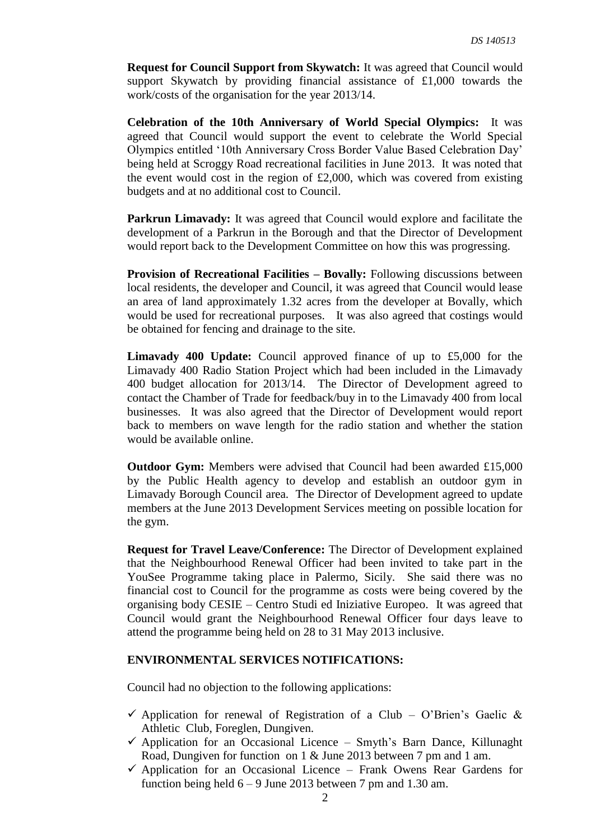**Request for Council Support from Skywatch:** It was agreed that Council would support Skywatch by providing financial assistance of £1,000 towards the work/costs of the organisation for the year 2013/14.

**Celebration of the 10th Anniversary of World Special Olympics:** It was agreed that Council would support the event to celebrate the World Special Olympics entitled '10th Anniversary Cross Border Value Based Celebration Day' being held at Scroggy Road recreational facilities in June 2013. It was noted that the event would cost in the region of  $£2,000$ , which was covered from existing budgets and at no additional cost to Council.

**Parkrun Limavady:** It was agreed that Council would explore and facilitate the development of a Parkrun in the Borough and that the Director of Development would report back to the Development Committee on how this was progressing.

**Provision of Recreational Facilities – Bovally:** Following discussions between local residents, the developer and Council, it was agreed that Council would lease an area of land approximately 1.32 acres from the developer at Bovally, which would be used for recreational purposes. It was also agreed that costings would be obtained for fencing and drainage to the site.

**Limavady 400 Update:** Council approved finance of up to £5,000 for the Limavady 400 Radio Station Project which had been included in the Limavady 400 budget allocation for 2013/14. The Director of Development agreed to contact the Chamber of Trade for feedback/buy in to the Limavady 400 from local businesses. It was also agreed that the Director of Development would report back to members on wave length for the radio station and whether the station would be available online.

**Outdoor Gym:** Members were advised that Council had been awarded £15,000 by the Public Health agency to develop and establish an outdoor gym in Limavady Borough Council area. The Director of Development agreed to update members at the June 2013 Development Services meeting on possible location for the gym.

**Request for Travel Leave/Conference:** The Director of Development explained that the Neighbourhood Renewal Officer had been invited to take part in the YouSee Programme taking place in Palermo, Sicily. She said there was no financial cost to Council for the programme as costs were being covered by the organising body CESIE – Centro Studi ed Iniziative Europeo. It was agreed that Council would grant the Neighbourhood Renewal Officer four days leave to attend the programme being held on 28 to 31 May 2013 inclusive.

### **ENVIRONMENTAL SERVICES NOTIFICATIONS:**

Council had no objection to the following applications:

- $\checkmark$  Application for renewal of Registration of a Club O'Brien's Gaelic & Athletic Club, Foreglen, Dungiven.
- $\checkmark$  Application for an Occasional Licence Smyth's Barn Dance, Killunaght Road, Dungiven for function on 1 & June 2013 between 7 pm and 1 am.
- $\checkmark$  Application for an Occasional Licence Frank Owens Rear Gardens for function being held  $6 - 9$  June 2013 between 7 pm and 1.30 am.